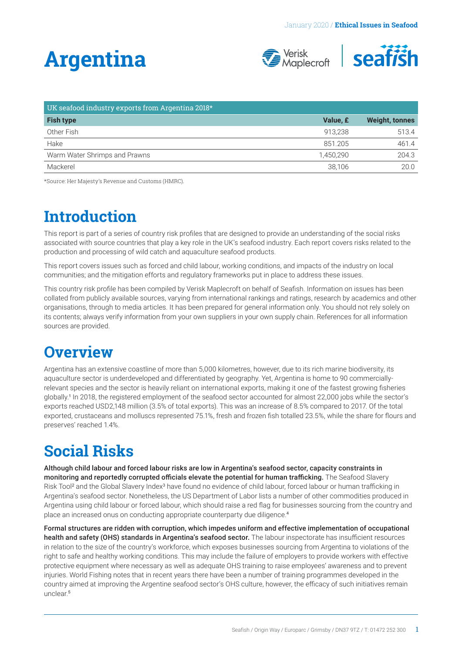# **Argentina**



| UK seafood industry exports from Argentina 2018* |           |                |
|--------------------------------------------------|-----------|----------------|
| <b>Fish type</b>                                 | Value, £  | Weight, tonnes |
| Other Fish                                       | 913.238   | 513.4          |
| Hake                                             | 851.205   | 461.4          |
| Warm Water Shrimps and Prawns                    | 1.450.290 | 204.3          |
| Mackerel                                         | 38,106    | 20.0           |

\*Source: Her Majesty's Revenue and Customs (HMRC).

### **Introduction**

This report is part of a series of country risk profiles that are designed to provide an understanding of the social risks associated with source countries that play a key role in the UK's seafood industry. Each report covers risks related to the production and processing of wild catch and aquaculture seafood products.

This report covers issues such as forced and child labour, working conditions, and impacts of the industry on local communities; and the mitigation efforts and regulatory frameworks put in place to address these issues.

This country risk profile has been compiled by Verisk Maplecroft on behalf of Seafish. Information on issues has been collated from publicly available sources, varying from international rankings and ratings, research by academics and other organisations, through to media articles. It has been prepared for general information only. You should not rely solely on its contents; always verify information from your own suppliers in your own supply chain. References for all information sources are provided.

### **Overview**

Argentina has an extensive coastline of more than 5,000 kilometres, however, due to its rich marine biodiversity, its aquaculture sector is underdeveloped and differentiated by geography. Yet, Argentina is home to 90 commerciallyrelevant species and the sector is heavily reliant on international exports, making it one of the fastest growing fisheries globally.1 In 2018, the registered employment of the seafood sector accounted for almost 22,000 jobs while the sector's exports reached USD2,148 million (3.5% of total exports). This was an increase of 8.5% compared to 2017. Of the total exported, crustaceans and molluscs represented 75.1%, fresh and frozen fish totalled 23.5%, while the share for flours and preserves' reached 1.4%.

## **Social Risks**

Although child labour and forced labour risks are low in Argentina's seafood sector, capacity constraints in monitoring and reportedly corrupted officials elevate the potential for human trafficking. The Seafood Slavery Risk Tool<sup>2</sup> and the Global Slavery Index<sup>3</sup> have found no evidence of child labour, forced labour or human trafficking in Argentina's seafood sector. Nonetheless, the US Department of Labor lists a number of other commodities produced in Argentina using child labour or forced labour, which should raise a red flag for businesses sourcing from the country and place an increased onus on conducting appropriate counterparty due diligence.<sup>4</sup>

Formal structures are ridden with corruption, which impedes uniform and effective implementation of occupational health and safety (OHS) standards in Argentina's seafood sector. The labour inspectorate has insufficient resources in relation to the size of the country's workforce, which exposes businesses sourcing from Argentina to violations of the right to safe and healthy working conditions. This may include the failure of employers to provide workers with effective protective equipment where necessary as well as adequate OHS training to raise employees' awareness and to prevent injuries. World Fishing notes that in recent years there have been a number of training programmes developed in the country aimed at improving the Argentine seafood sector's OHS culture, however, the efficacy of such initiatives remain unclear<sup>5</sup>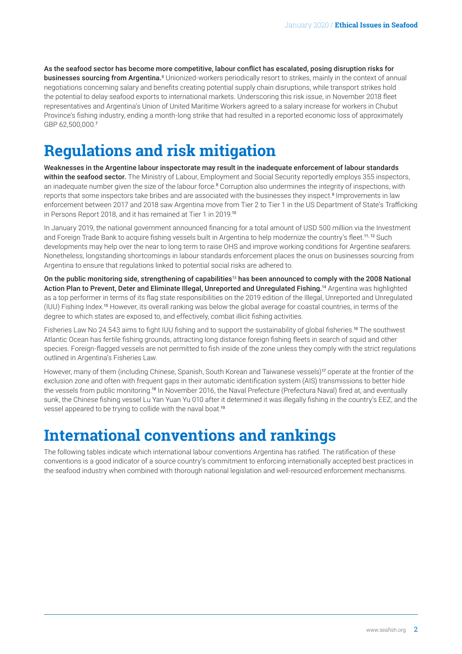As the seafood sector has become more competitive, labour conflict has escalated, posing disruption risks for **businesses sourcing from Argentina.**6 Unionized-workers periodically resort to strikes, mainly in the context of annual negotiations concerning salary and benefits creating potential supply chain disruptions, while transport strikes hold the potential to delay seafood exports to international markets. Underscoring this risk issue, in November 2018 fleet representatives and Argentina's Union of United Maritime Workers agreed to a salary increase for workers in Chubut Province's fishing industry, ending a month-long strike that had resulted in a reported economic loss of approximately GBP 62,500,000.<sup>7</sup>

### **Regulations and risk mitigation**

Weaknesses in the Argentine labour inspectorate may result in the inadequate enforcement of labour standards within the seafood sector. The Ministry of Labour, Employment and Social Security reportedly employs 355 inspectors, an inadequate number given the size of the labour force.<sup>8</sup> Corruption also undermines the integrity of inspections, with reports that some inspectors take bribes and are associated with the businesses they inspect.<sup>9</sup> Improvements in law enforcement between 2017 and 2018 saw Argentina move from Tier 2 to Tier 1 in the US Department of State's Trafficking in Persons Report 2018, and it has remained at Tier 1 in 2019.<sup>10</sup>

In January 2019, the national government announced financing for a total amount of USD 500 million via the Investment and Foreign Trade Bank to acquire fishing vessels built in Argentina to help modernize the country's fleet.<sup>11, 12</sup> Such developments may help over the near to long term to raise OHS and improve working conditions for Argentine seafarers. Nonetheless, longstanding shortcomings in labour standards enforcement places the onus on businesses sourcing from Argentina to ensure that regulations linked to potential social risks are adhered to.

On the public monitoring side, strengthening of capabilities<sup>13</sup> has been announced to comply with the 2008 National Action Plan to Prevent, Deter and Eliminate Illegal, Unreported and Unregulated Fishing.14 Argentina was highlighted as a top performer in terms of its flag state responsibilities on the 2019 edition of the Illegal, Unreported and Unregulated (IUU) Fishing Index.15 However, its overall ranking was below the global average for coastal countries, in terms of the degree to which states are exposed to, and effectively, combat illicit fishing activities.

Fisheries Law No 24.543 aims to fight IUU fishing and to support the sustainability of global fisheries.<sup>16</sup> The southwest Atlantic Ocean has fertile fishing grounds, attracting long distance foreign fishing fleets in search of squid and other species. Foreign-flagged vessels are not permitted to fish inside of the zone unless they comply with the strict regulations outlined in Argentina's Fisheries Law.

However, many of them (including Chinese, Spanish, South Korean and Taiwanese vessels)<sup>17</sup> operate at the frontier of the exclusion zone and often with frequent gaps in their automatic identification system (AIS) transmissions to better hide the vessels from public monitoring.18 In November 2016, the Naval Prefecture (Prefectura Naval) fired at, and eventually sunk, the Chinese fishing vessel Lu Yan Yuan Yu 010 after it determined it was illegally fishing in the country's EEZ, and the vessel appeared to be trying to collide with the naval boat.<sup>19</sup>

### **International conventions and rankings**

The following tables indicate which international labour conventions Argentina has ratified. The ratification of these conventions is a good indicator of a source country's commitment to enforcing internationally accepted best practices in the seafood industry when combined with thorough national legislation and well-resourced enforcement mechanisms.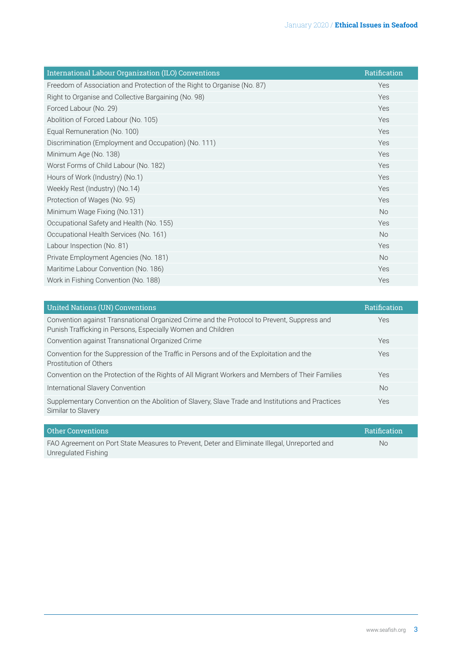| International Labour Organization (ILO) Conventions                     | Ratification |
|-------------------------------------------------------------------------|--------------|
| Freedom of Association and Protection of the Right to Organise (No. 87) | Yes          |
| Right to Organise and Collective Bargaining (No. 98)                    | Yes          |
| Forced Labour (No. 29)                                                  | Yes          |
| Abolition of Forced Labour (No. 105)                                    | Yes          |
| Equal Remuneration (No. 100)                                            | Yes          |
| Discrimination (Employment and Occupation) (No. 111)                    | Yes          |
| Minimum Age (No. 138)                                                   | Yes          |
| Worst Forms of Child Labour (No. 182)                                   | Yes          |
| Hours of Work (Industry) (No.1)                                         | Yes          |
| Weekly Rest (Industry) (No.14)                                          | Yes          |
| Protection of Wages (No. 95)                                            | Yes          |
| Minimum Wage Fixing (No.131)                                            | <b>No</b>    |
| Occupational Safety and Health (No. 155)                                | Yes          |
| Occupational Health Services (No. 161)                                  | <b>No</b>    |
| Labour Inspection (No. 81)                                              | Yes          |
| Private Employment Agencies (No. 181)                                   | <b>No</b>    |
| Maritime Labour Convention (No. 186)                                    | Yes          |
| Work in Fishing Convention (No. 188)                                    | Yes          |

| <b>Ratification</b> |
|---------------------|
| <b>Yes</b>          |
| Yes                 |
| Yes                 |
| Yes                 |
| <b>No</b>           |
| Yes                 |
|                     |

| Other Conventions                                                                            | Ratification |
|----------------------------------------------------------------------------------------------|--------------|
| FAO Agreement on Port State Measures to Prevent, Deter and Eliminate Illegal, Unreported and | No.          |
| Unregulated Fishing                                                                          |              |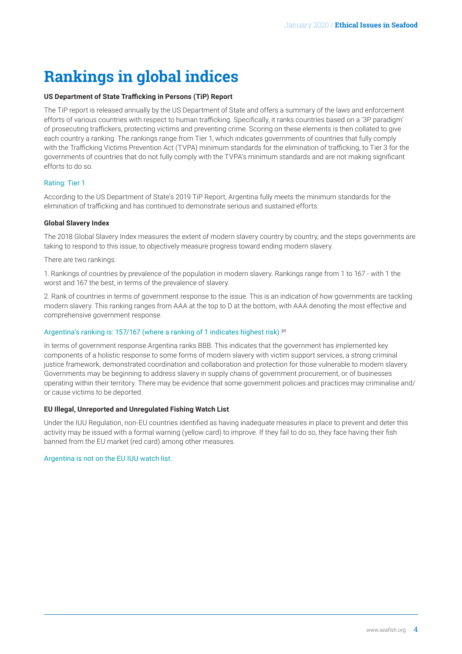# **Rankings in global indices**

#### **US Department of State Trafficking in Persons (TiP) Report**

The TiP report is released annually by the US Department of State and offers a summary of the laws and enforcement efforts of various countries with respect to human trafficking. Specifically, it ranks countries based on a '3P paradigm' of prosecuting traffickers, protecting victims and preventing crime. Scoring on these elements is then collated to give each country a ranking. The rankings range from Tier 1, which indicates governments of countries that fully comply with the Trafficking Victims Prevention Act (TVPA) minimum standards for the elimination of trafficking, to Tier 3 for the governments of countries that do not fully comply with the TVPA's minimum standards and are not making significant efforts to do so.

#### Rating: Tier 1

According to the US Department of State's 2019 TiP Report, Argentina fully meets the minimum standards for the elimination of trafficking and has continued to demonstrate serious and sustained efforts.

#### **Global Slavery Index**

The 2018 Global Slavery Index measures the extent of modern slavery country by country, and the steps governments are taking to respond to this issue, to objectively measure progress toward ending modern slavery.

#### There are two rankings:

1. Rankings of countries by prevalence of the population in modern slavery. Rankings range from 1 to 167 - with 1 the worst and 167 the best, in terms of the prevalence of slavery.

2. Rank of countries in terms of government response to the issue. This is an indication of how governments are tackling modern slavery. This ranking ranges from AAA at the top to D at the bottom, with AAA denoting the most effective and comprehensive government response.

#### Argentina's ranking is: 157/167 (where a ranking of 1 indicates highest risk).<sup>20</sup>

In terms of government response Argentina ranks BBB. This indicates that the government has implemented key components of a holistic response to some forms of modern slavery with victim support services, a strong criminal justice framework, demonstrated coordination and collaboration and protection for those vulnerable to modern slavery. Governments may be beginning to address slavery in supply chains of government procurement, or of businesses operating within their territory. There may be evidence that some government policies and practices may criminalise and/ or cause victims to be deported.

#### **EU Illegal, Unreported and Unregulated Fishing Watch List**

Under the IUU Regulation, non-EU countries identified as having inadequate measures in place to prevent and deter this activity may be issued with a formal warning (yellow card) to improve. If they fail to do so, they face having their fish banned from the EU market (red card) among other measures.

#### Argentina is not on the EU IUU watch list.